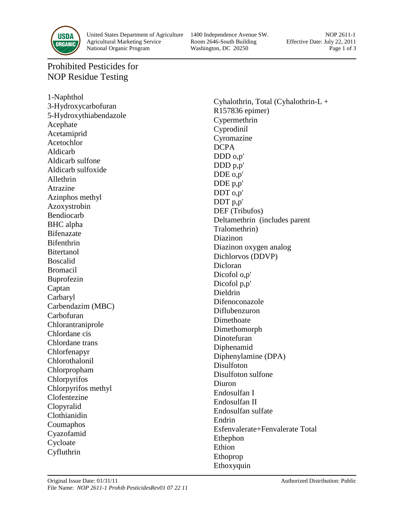

United States Department of Agriculture 1400 Independence Avenue SW. NOP 2611-1<br>Agricultural Marketing Service Room 2646-South Building Effective Date: July 22, 2011 Agricultural Marketing Service Room 2646-South Building Effective Date: July 22, 2011 National Organic Program Washington, DC 20250 Page 1 of 3

## Prohibited Pesticides for NOP Residue Testing

1-Naphthol 3-Hydroxycarbofuran 5-Hydroxythiabendazole Acephate Acetamiprid Acetochlor Aldicarb Aldicarb sulfone Aldicarb sulfoxide Allethrin Atrazine Azinphos methyl Azoxystrobin Bendiocarb BHC alpha Bifenazate Bifenthrin **Bitertanol** Boscalid Bromacil Buprofezin Captan Carbaryl Carbendazim (MBC) Carbofuran Chlorantraniprole Chlordane cis Chlordane trans Chlorfenapyr Chlorothalonil Chlorpropham Chlorpyrifos Chlorpyrifos methyl Clofentezine Clopyralid Clothianidin Coumaphos Cyazofamid Cycloate Cyfluthrin

Cyhalothrin, Total (Cyhalothrin-L + R157836 epimer) Cypermethrin Cyprodinil Cyromazine DCPA DDD o,p' DDD p,p' DDE o,p' DDE p,p' DDT o,p' DDT p,p' DEF (Tribufos) Deltamethrin (includes parent Tralomethrin) Diazinon Diazinon oxygen analog Dichlorvos (DDVP) Dicloran Dicofol o,p' Dicofol p,p' Dieldrin Difenoconazole Diflubenzuron Dimethoate Dimethomorph Dinotefuran Diphenamid Diphenylamine (DPA) Disulfoton Disulfoton sulfone Diuron Endosulfan I Endosulfan II Endosulfan sulfate Endrin Esfenvalerate+Fenvalerate Total Ethephon Ethion Ethoprop Ethoxyquin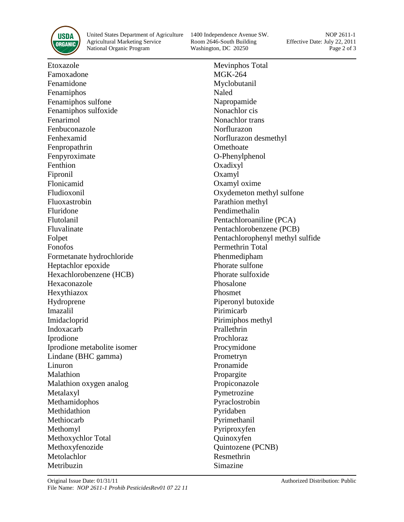

United States Department of Agriculture 1400 Independence Avenue SW. NOP 2611-1<br>Agricultural Marketing Service Room 2646-South Building Effective Date: July 22, 2011 Agricultural Marketing Service National Organic Program Washington, DC 20250 Page 2 of 3

Etoxazole Famoxadone Fenamidone Fenamiphos Fenamiphos sulfone Fenamiphos sulfoxide Fenarimol Fenbuconazole Fenhexamid Fenpropathrin Fenpyroximate Fenthion Fipronil Flonicamid Fludioxonil Fluoxastrobin Fluridone Flutolanil Fluvalinate Folpet Fonofos Formetanate hydrochloride Heptachlor epoxide Hexachlorobenzene (HCB) Hexaconazole Hexythiazox Hydroprene Imazalil Imidacloprid Indoxacarb Iprodione Iprodione metabolite isomer Lindane (BHC gamma) Linuron Malathion Malathion oxygen analog Metalaxyl Methamidophos Methidathion Methiocarb Methomyl Methoxychlor Total Methoxyfenozide Metolachlor Metribuzin

Mevinphos Total MGK-264 Myclobutanil Naled Napropamide Nonachlor cis Nonachlor trans Norflurazon Norflurazon desmethyl **Omethoate** O-Phenylphenol Oxadixyl Oxamyl Oxamyl oxime Oxydemeton methyl sulfone Parathion methyl Pendimethalin Pentachloroaniline (PCA) Pentachlorobenzene (PCB) Pentachlorophenyl methyl sulfide Permethrin Total Phenmedipham Phorate sulfone Phorate sulfoxide Phosalone Phosmet Piperonyl butoxide Pirimicarb Pirimiphos methyl Prallethrin Prochloraz Procymidone Prometryn Pronamide Propargite Propiconazole Pymetrozine Pyraclostrobin Pyridaben Pyrimethanil Pyriproxyfen Quinoxyfen Quintozene (PCNB) Resmethrin Simazine